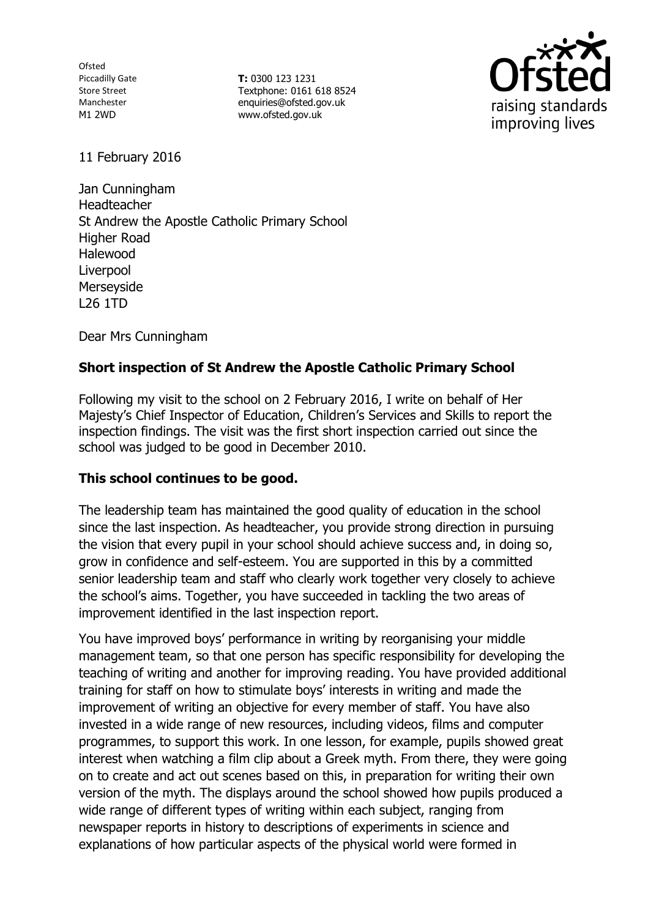Ofsted Piccadilly Gate Store Street Manchester M1 2WD

**T:** 0300 123 1231 Textphone: 0161 618 8524 enquiries@ofsted.gov.uk www.ofsted.gov.uk



11 February 2016

Jan Cunningham Headteacher St Andrew the Apostle Catholic Primary School Higher Road Halewood **Liverpool** Merseyside L26 1TD

Dear Mrs Cunningham

# **Short inspection of St Andrew the Apostle Catholic Primary School**

Following my visit to the school on 2 February 2016, I write on behalf of Her Majesty's Chief Inspector of Education, Children's Services and Skills to report the inspection findings. The visit was the first short inspection carried out since the school was judged to be good in December 2010.

#### **This school continues to be good.**

The leadership team has maintained the good quality of education in the school since the last inspection. As headteacher, you provide strong direction in pursuing the vision that every pupil in your school should achieve success and, in doing so, grow in confidence and self-esteem. You are supported in this by a committed senior leadership team and staff who clearly work together very closely to achieve the school's aims. Together, you have succeeded in tackling the two areas of improvement identified in the last inspection report.

You have improved boys' performance in writing by reorganising your middle management team, so that one person has specific responsibility for developing the teaching of writing and another for improving reading. You have provided additional training for staff on how to stimulate boys' interests in writing and made the improvement of writing an objective for every member of staff. You have also invested in a wide range of new resources, including videos, films and computer programmes, to support this work. In one lesson, for example, pupils showed great interest when watching a film clip about a Greek myth. From there, they were going on to create and act out scenes based on this, in preparation for writing their own version of the myth. The displays around the school showed how pupils produced a wide range of different types of writing within each subject, ranging from newspaper reports in history to descriptions of experiments in science and explanations of how particular aspects of the physical world were formed in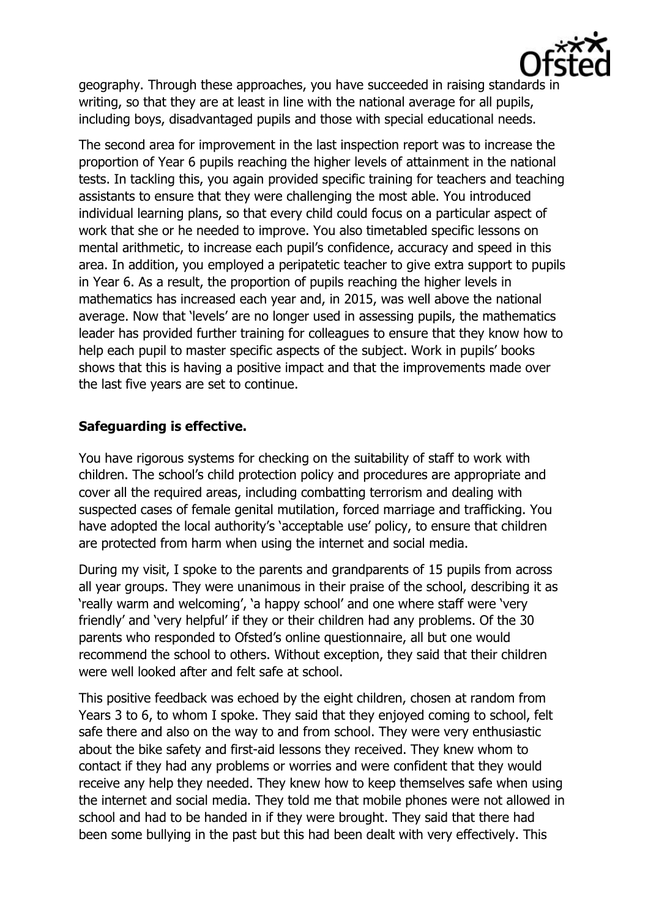

geography. Through these approaches, you have succeeded in raising standards in writing, so that they are at least in line with the national average for all pupils, including boys, disadvantaged pupils and those with special educational needs.

The second area for improvement in the last inspection report was to increase the proportion of Year 6 pupils reaching the higher levels of attainment in the national tests. In tackling this, you again provided specific training for teachers and teaching assistants to ensure that they were challenging the most able. You introduced individual learning plans, so that every child could focus on a particular aspect of work that she or he needed to improve. You also timetabled specific lessons on mental arithmetic, to increase each pupil's confidence, accuracy and speed in this area. In addition, you employed a peripatetic teacher to give extra support to pupils in Year 6. As a result, the proportion of pupils reaching the higher levels in mathematics has increased each year and, in 2015, was well above the national average. Now that 'levels' are no longer used in assessing pupils, the mathematics leader has provided further training for colleagues to ensure that they know how to help each pupil to master specific aspects of the subject. Work in pupils' books shows that this is having a positive impact and that the improvements made over the last five years are set to continue.

# **Safeguarding is effective.**

You have rigorous systems for checking on the suitability of staff to work with children. The school's child protection policy and procedures are appropriate and cover all the required areas, including combatting terrorism and dealing with suspected cases of female genital mutilation, forced marriage and trafficking. You have adopted the local authority's 'acceptable use' policy, to ensure that children are protected from harm when using the internet and social media.

During my visit, I spoke to the parents and grandparents of 15 pupils from across all year groups. They were unanimous in their praise of the school, describing it as 'really warm and welcoming', 'a happy school' and one where staff were 'very friendly' and 'very helpful' if they or their children had any problems. Of the 30 parents who responded to Ofsted's online questionnaire, all but one would recommend the school to others. Without exception, they said that their children were well looked after and felt safe at school.

This positive feedback was echoed by the eight children, chosen at random from Years 3 to 6, to whom I spoke. They said that they enjoyed coming to school, felt safe there and also on the way to and from school. They were very enthusiastic about the bike safety and first-aid lessons they received. They knew whom to contact if they had any problems or worries and were confident that they would receive any help they needed. They knew how to keep themselves safe when using the internet and social media. They told me that mobile phones were not allowed in school and had to be handed in if they were brought. They said that there had been some bullying in the past but this had been dealt with very effectively. This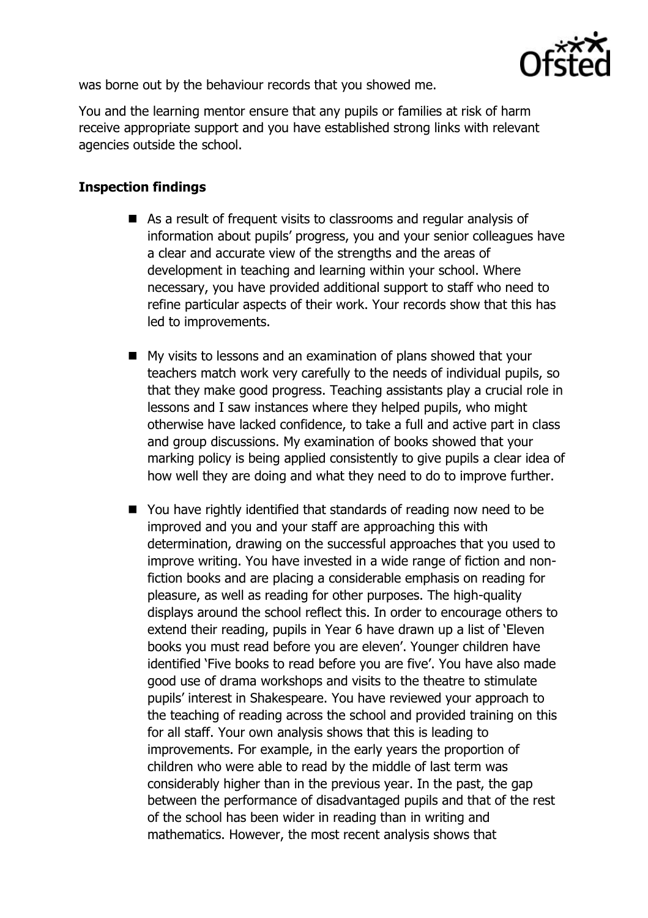

was borne out by the behaviour records that you showed me.

You and the learning mentor ensure that any pupils or families at risk of harm receive appropriate support and you have established strong links with relevant agencies outside the school.

### **Inspection findings**

- As a result of frequent visits to classrooms and regular analysis of information about pupils' progress, you and your senior colleagues have a clear and accurate view of the strengths and the areas of development in teaching and learning within your school. Where necessary, you have provided additional support to staff who need to refine particular aspects of their work. Your records show that this has led to improvements.
- My visits to lessons and an examination of plans showed that your teachers match work very carefully to the needs of individual pupils, so that they make good progress. Teaching assistants play a crucial role in lessons and I saw instances where they helped pupils, who might otherwise have lacked confidence, to take a full and active part in class and group discussions. My examination of books showed that your marking policy is being applied consistently to give pupils a clear idea of how well they are doing and what they need to do to improve further.
- You have rightly identified that standards of reading now need to be improved and you and your staff are approaching this with determination, drawing on the successful approaches that you used to improve writing. You have invested in a wide range of fiction and nonfiction books and are placing a considerable emphasis on reading for pleasure, as well as reading for other purposes. The high-quality displays around the school reflect this. In order to encourage others to extend their reading, pupils in Year 6 have drawn up a list of 'Eleven books you must read before you are eleven'. Younger children have identified 'Five books to read before you are five'. You have also made good use of drama workshops and visits to the theatre to stimulate pupils' interest in Shakespeare. You have reviewed your approach to the teaching of reading across the school and provided training on this for all staff. Your own analysis shows that this is leading to improvements. For example, in the early years the proportion of children who were able to read by the middle of last term was considerably higher than in the previous year. In the past, the gap between the performance of disadvantaged pupils and that of the rest of the school has been wider in reading than in writing and mathematics. However, the most recent analysis shows that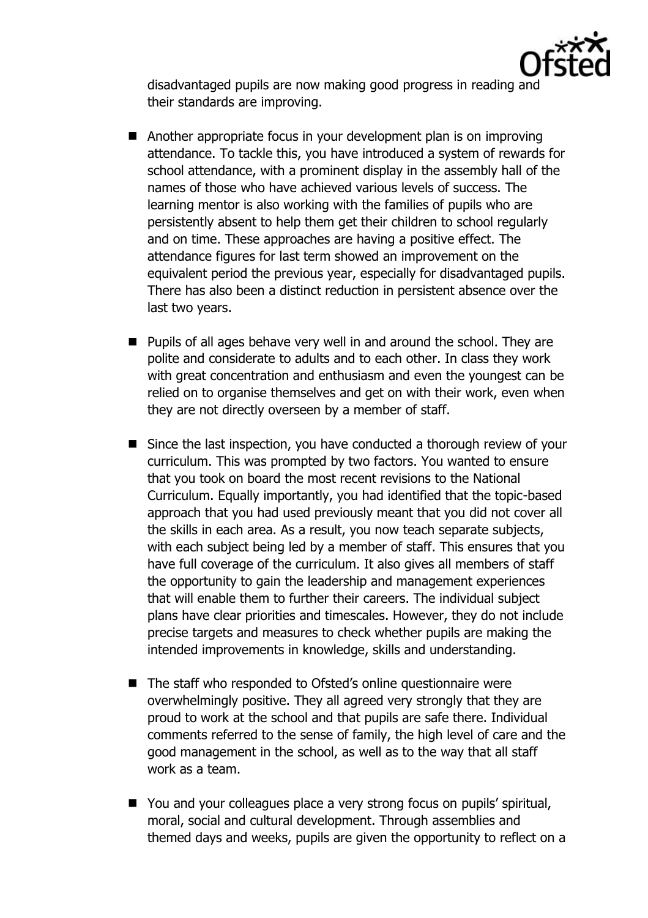

disadvantaged pupils are now making good progress in reading and their standards are improving.

- Another appropriate focus in your development plan is on improving attendance. To tackle this, you have introduced a system of rewards for school attendance, with a prominent display in the assembly hall of the names of those who have achieved various levels of success. The learning mentor is also working with the families of pupils who are persistently absent to help them get their children to school regularly and on time. These approaches are having a positive effect. The attendance figures for last term showed an improvement on the equivalent period the previous year, especially for disadvantaged pupils. There has also been a distinct reduction in persistent absence over the last two years.
- **Pupils of all ages behave very well in and around the school. They are** polite and considerate to adults and to each other. In class they work with great concentration and enthusiasm and even the youngest can be relied on to organise themselves and get on with their work, even when they are not directly overseen by a member of staff.
- Since the last inspection, you have conducted a thorough review of your curriculum. This was prompted by two factors. You wanted to ensure that you took on board the most recent revisions to the National Curriculum. Equally importantly, you had identified that the topic-based approach that you had used previously meant that you did not cover all the skills in each area. As a result, you now teach separate subjects, with each subject being led by a member of staff. This ensures that you have full coverage of the curriculum. It also gives all members of staff the opportunity to gain the leadership and management experiences that will enable them to further their careers. The individual subject plans have clear priorities and timescales. However, they do not include precise targets and measures to check whether pupils are making the intended improvements in knowledge, skills and understanding.
- The staff who responded to Ofsted's online questionnaire were overwhelmingly positive. They all agreed very strongly that they are proud to work at the school and that pupils are safe there. Individual comments referred to the sense of family, the high level of care and the good management in the school, as well as to the way that all staff work as a team.
- You and your colleagues place a very strong focus on pupils' spiritual, moral, social and cultural development. Through assemblies and themed days and weeks, pupils are given the opportunity to reflect on a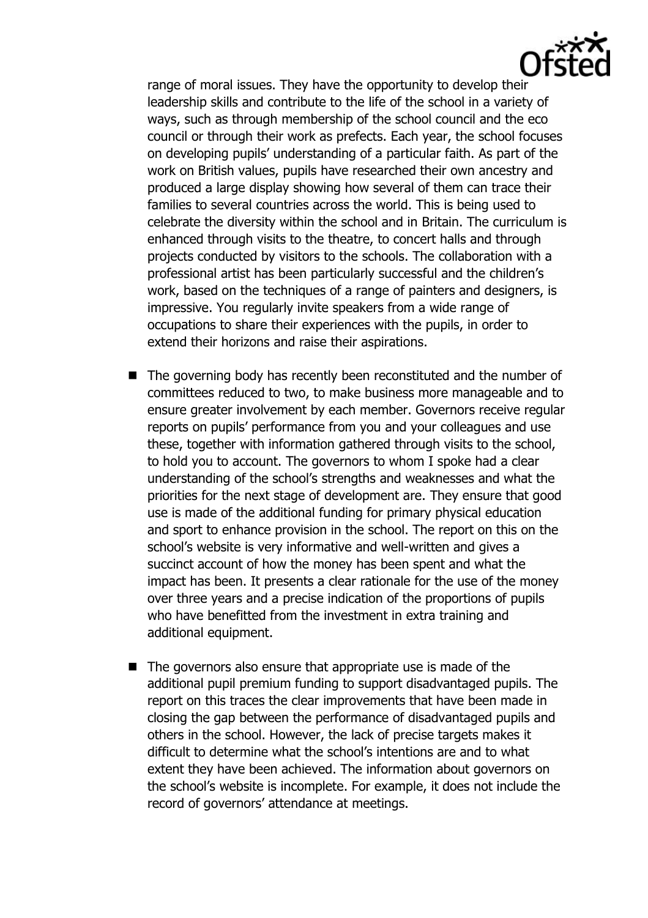range of moral issues. They have the opportunity to develop their leadership skills and contribute to the life of the school in a variety of ways, such as through membership of the school council and the eco council or through their work as prefects. Each year, the school focuses on developing pupils' understanding of a particular faith. As part of the work on British values, pupils have researched their own ancestry and produced a large display showing how several of them can trace their families to several countries across the world. This is being used to celebrate the diversity within the school and in Britain. The curriculum is enhanced through visits to the theatre, to concert halls and through projects conducted by visitors to the schools. The collaboration with a professional artist has been particularly successful and the children's work, based on the techniques of a range of painters and designers, is impressive. You regularly invite speakers from a wide range of occupations to share their experiences with the pupils, in order to extend their horizons and raise their aspirations.

- The governing body has recently been reconstituted and the number of committees reduced to two, to make business more manageable and to ensure greater involvement by each member. Governors receive regular reports on pupils' performance from you and your colleagues and use these, together with information gathered through visits to the school, to hold you to account. The governors to whom I spoke had a clear understanding of the school's strengths and weaknesses and what the priorities for the next stage of development are. They ensure that good use is made of the additional funding for primary physical education and sport to enhance provision in the school. The report on this on the school's website is very informative and well-written and gives a succinct account of how the money has been spent and what the impact has been. It presents a clear rationale for the use of the money over three years and a precise indication of the proportions of pupils who have benefitted from the investment in extra training and additional equipment.
- The governors also ensure that appropriate use is made of the additional pupil premium funding to support disadvantaged pupils. The report on this traces the clear improvements that have been made in closing the gap between the performance of disadvantaged pupils and others in the school. However, the lack of precise targets makes it difficult to determine what the school's intentions are and to what extent they have been achieved. The information about governors on the school's website is incomplete. For example, it does not include the record of governors' attendance at meetings.